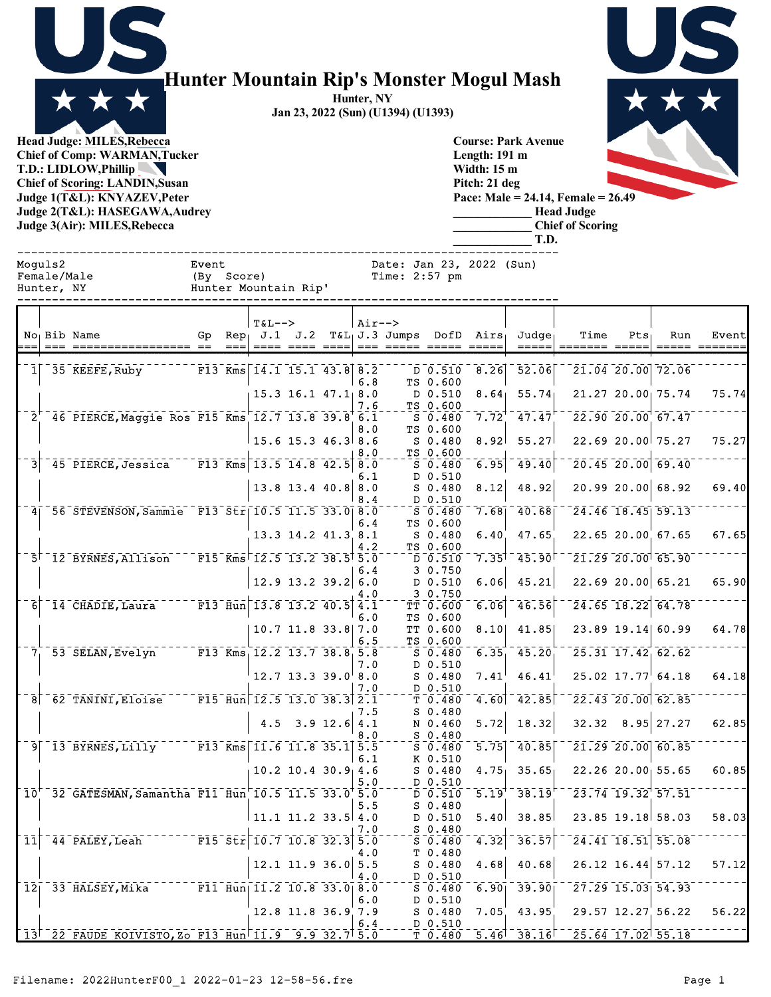

## **Hunter Mountain Rip's Monster Mogul Mash**

**Hunter, NY Jan 23, 2022 (Sun) (U1394) (U1393)**

> **Course: Park Avenue Length: 191 m Width: 15 m Pitch: 21 deg**

> > **\_\_\_\_\_\_\_\_\_\_\_\_\_ Head Judge \_\_\_\_\_\_\_\_\_\_\_\_\_ Chief of Scoring**

**\_\_\_\_\_\_\_\_\_\_\_\_\_ T.D.**

**Head Judge: MILES,Rebecca Chief of Comp: WARMAN,Tucker T.D.: LIDLOW,Phillip Chief of Scoring: LANDIN,Susan Judge 1(T&L): KNYAZEV,Peter Judge 2(T&L): HASEGAWA,Audrey Judge 3(Air): MILES,Rebecca** 

**Pace: Male = 24.14, Female = 26.49**

|   | Moguls2<br>Female/Male<br>Hunter, NY |                                                                                                                   | Event<br>(By Score) |        | Hunter Mountain Rip'                    |                        |            | Date: Jan 23, 2022 (Sun)<br>Time: 2:57 pm |                                                                                        |                             |                                                   |                                                   |                   |                                                          |                        |
|---|--------------------------------------|-------------------------------------------------------------------------------------------------------------------|---------------------|--------|-----------------------------------------|------------------------|------------|-------------------------------------------|----------------------------------------------------------------------------------------|-----------------------------|---------------------------------------------------|---------------------------------------------------|-------------------|----------------------------------------------------------|------------------------|
|   |                                      | No <sub>l</sub> Bib Name                                                                                          |                     | $== =$ | $T&L-->$<br>Gp $Rep_1$ J.1 J.2          | ==== ==== ====         | $Air--$    | $T&L_1J.3$ Jumps DofD Airs                |                                                                                        |                             | Judge <sub>1</sub><br>$= = = = =$                 | Time<br>$=$ ======= =====                         | Pts               | Run                                                      | Event<br>===== ======= |
|   |                                      | $1$ 35 KEEFE, Ruby                                                                                                |                     |        | $\overline{F13}$ Kms 14.1 15.1 43.8 8.2 |                        | 6.8        |                                           | D 0.510<br>TS 0.600                                                                    | 8.26                        | 52.06                                             |                                                   |                   | 21.04 20.00 72.06                                        |                        |
|   |                                      |                                                                                                                   |                     |        |                                         | $15.3$ 16.1 $47.1$ 8.0 | 7.6        |                                           | D 0.510<br>TS 0.600                                                                    | 8.64                        | 55.74                                             |                                                   |                   | 21.27 20.00 75.74                                        | 75.74                  |
|   |                                      | 2 46 PIERCE, Maggie Ros F15 Kms 12.7 13.8 39.8 6.1                                                                |                     |        |                                         |                        | 8.0        |                                           | $\overline{\text{S}}$ $\overline{\text{0.480}}$<br>TS 0.600                            | $7.72^{+1}$                 | 47.47                                             | $\sqrt{22.90}$ $\sqrt{20.00}$ $\sqrt{67.47}$      |                   |                                                          |                        |
|   |                                      | 3 45 PIERCE, Jessica F13 Kms 13.5 14.8 42.5 8.0                                                                   |                     |        |                                         | $15.6$ 15.3 46.3 8.6   | 8.0        |                                           | S 0.480<br>TS 0.600<br>-ิธิ <sup>-</sup> อิ-4ิ80                                       | 8.92<br>6.95                | 55.27<br>$\bar{49.40}$                            |                                                   |                   | 22.69 20.00 75.27<br>$\sqrt{20.45}$ $\sqrt{20.00}$ 69.40 | 75.27                  |
|   |                                      |                                                                                                                   |                     |        |                                         | 13.8 13.4 40.8 8.0     | 6.1        |                                           | D 0.510<br>S 0.480                                                                     | 8.12                        | 48.92                                             |                                                   |                   | 20.9920.0068.92                                          | 69.40                  |
|   |                                      | 4 56 STEVENSON, Sammie F13 Str 10.5 11.5 33.0 8.0                                                                 |                     |        |                                         |                        | 8.4        |                                           | D 0.510<br>$\bar{\,\rm s}$ $\bar{\,\rm 0}$ , $\bar{\rm 4}80$                           |                             | $7.68$ <sup>-</sup> $40.68$ <sup>-</sup>          | $-24.46$ 18.45 59.13                              |                   |                                                          |                        |
|   |                                      |                                                                                                                   |                     |        |                                         | 13.3 14.2 41.3 8.1     | 6.4        |                                           | TS 0.600<br>$S$ 0.480                                                                  | 6.40                        | 47.65                                             |                                                   |                   | 22.65 20.00 67.65                                        | 67.65                  |
|   |                                      | 5 <sup><math>-12</math></sup> BYRNES, Allison F15 Kms <sup><math>-12.5</math></sup> 13.2 38.5 <sup>1</sup> 5.0    |                     |        |                                         |                        | 4.2<br>6.4 |                                           | TS 0.600<br>$\bar{D}$ $\bar{0}$ .510<br>3 0.750                                        | $7.35$ <sup>1</sup>         | 145.90                                            | $^{-1}$ 21.29 20.00 65.90                         |                   |                                                          |                        |
|   |                                      |                                                                                                                   |                     |        |                                         | $12.9$ 13.2 39.2 6.0   | 4.0        |                                           | $D$ 0.510<br>3 0.750                                                                   | 6.06                        | 45.21                                             |                                                   |                   | 22.6920.0065.21                                          | 65.90                  |
| 6 |                                      | $-14$ CHADIE, Laura $   F13$ $\overline{H}$ un $-13.8$ $13.2$ $40.5$ $4.1$                                        |                     |        |                                         |                        | 6.0        |                                           | $T\bar{T}$ $0.600$<br>TS 0.600                                                         | 6.06                        | 46.56                                             |                                                   |                   | $24.65$ $18.22$ 64.78                                    |                        |
|   |                                      |                                                                                                                   |                     |        |                                         | 10.7 11.8 33.8 7.0     | 6.5        |                                           | TT 0.600<br>TS 0.600                                                                   | 8.10                        | 41.85                                             |                                                   |                   | 23.89 19.14 60.99                                        | 64.78                  |
|   |                                      | 7 53 SELAN, Evelyn F13 Kms 12.2 13.7 38.8 5.8                                                                     |                     |        |                                         | $12.7$ 13.3 39.0 8.0   | 7.0        |                                           | $\bar{\mathsf{s}}$ $\bar{\mathsf{o}}$ . 480 $\bar{\mathsf{c}}$<br>D 0.510<br>$S$ 0.480 | 6.35<br>7.41                | 45.20<br>46.41                                    | $\overline{25.31}$ 17.42 62.62                    |                   | $25.02$ 17.77 64.18                                      | 64.18                  |
|   |                                      | 8 62 TANINI, Eloise F15 Hun 12.5 13.0 38.3 2.1                                                                    |                     |        |                                         |                        | 7.0        |                                           | D 0.510<br>$\bar{\tau}$ 0.480 $\bar{\tau}$                                             | 4.60                        | 42.85                                             |                                                   |                   | $\sqrt{22.43}$ 20.00 62.85                               |                        |
|   |                                      |                                                                                                                   |                     |        |                                         | 4.5 $3.9 12.6   4.1$   | 7.5        |                                           | S 0.480<br>N 0.460                                                                     | 5.72                        | 18.32                                             |                                                   |                   | $32.32$ $8.95$ 27.27                                     | 62.85                  |
|   |                                      | 9 13 BYRNES, Lilly F13 Kms 11.6 11.8 35.1 5.5                                                                     |                     |        |                                         |                        | 8.O<br>6.1 |                                           | S 0.480<br>$\overline{\text{S}}$ 0.480<br>K 0.510                                      | 5.75                        | 40.85                                             |                                                   |                   | 21.29 20.00 60.85                                        |                        |
|   |                                      |                                                                                                                   |                     |        |                                         | $10.2$ 10.4 30.9 4.6   | 5.0        |                                           | $S$ 0.480<br>D 0.510                                                                   | 4.75                        | 35.65                                             | 22.26 20.00 55.65                                 |                   |                                                          | 60.85                  |
|   |                                      | $\lceil$ 10 <sup><math>-</math></sup> 32 $\lceil$ GATESMAN, Samantha F11 Hun $\lceil$ 10.5 11.5 33.0 $\lceil$ 5.0 |                     |        |                                         |                        | 5.5        |                                           | $\overline{D}$ $\overline{0.510}$<br>$S$ 0.480                                         |                             | $\overline{5.19}$ <sup>-</sup> 38.19 <sup>F</sup> | $-23.74$ $19.32$ $57.51$                          |                   |                                                          |                        |
|   |                                      |                                                                                                                   |                     |        | 11.1 11.2 33.5 4.0                      |                        | 7.0        |                                           | D 0.510<br>$S$ 0.480                                                                   | 5.40 <sub>1</sub>           | 38.85                                             |                                                   | 23.85 19.18 58.03 | $\sqrt{24.41}$ 18.51 55.08                               | 58.03                  |
|   |                                      |                                                                                                                   |                     |        |                                         | 12.1 11.9 36.0 5.5     | 4.0        |                                           | $S = 0.480$<br>T 0.480<br>$S$ 0.480                                                    | $\left[4.32\right]$<br>4.68 | 36.57<br>40.68                                    | $26.12$ 16.44 57.12                               |                   |                                                          | 57.12                  |
|   |                                      | $\lceil 12 \rceil$ 33 HALSEY, Mika $\lceil 11 \rceil$ Hun  11.2 10.8 33.0 8.0                                     |                     |        |                                         |                        | 4.0        |                                           | D 0.510<br>50.480                                                                      | 6.90                        | 39.90                                             | $\frac{-27.29 - 15.03}{54.93}$                    |                   |                                                          |                        |
|   |                                      |                                                                                                                   |                     |        |                                         | 12.8 11.8 36.9 7.9     | 6.0        |                                           | D 0.510<br>S 0.480                                                                     | 7.05                        | 43.95                                             | 29.57 12.27 56.22                                 |                   |                                                          | 56.22                  |
|   |                                      | 13 <sup>+-22-</sup> FAUDE KOIVISTO, Zo F13 Hun <sup> </sup> 11.9 9.9 32.7 5.0                                     |                     |        |                                         |                        | 6.4        |                                           | D 0.510                                                                                |                             |                                                   | $T$ 0.480 $5.46$ $38.16$ $725.64$ $17.02$ $55.18$ |                   |                                                          |                        |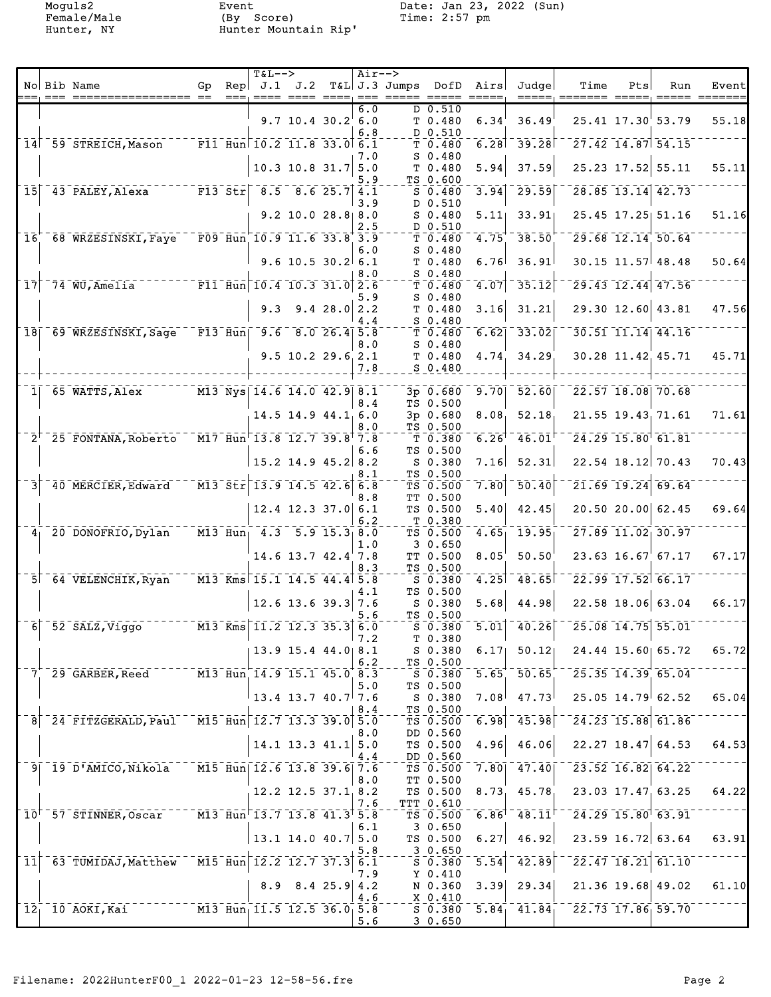Moguls2 Event Date: Jan 23, 2022 (Sun) Female/Male (By Score) Time: 2:57 pm Hunter, NY Hunter Mountain Rip'

|                            |                                                                                                |                                                                                       | <b>T&amp;L--&gt;</b> |                                                                                         |            | $Air--$    |                         |                                 |                            |                                                          |                                                   |     |                                                          |                           |
|----------------------------|------------------------------------------------------------------------------------------------|---------------------------------------------------------------------------------------|----------------------|-----------------------------------------------------------------------------------------|------------|------------|-------------------------|---------------------------------|----------------------------|----------------------------------------------------------|---------------------------------------------------|-----|----------------------------------------------------------|---------------------------|
|                            | No Bib Name<br>=== ================== ==                                                       | Gp.                                                                                   | Rep                  | J.1 J.2                                                                                 |            |            | T&L J.3 Jumps DofD Airs |                                 |                            | Judge                                                    | Time<br>=====; ======= =====; ===== =======       | Pts | Run                                                      | Event                     |
|                            |                                                                                                |                                                                                       |                      | $9.7$ 10.4 30.2 6.0                                                                     |            | 6.0        |                         | $D_0.510$<br>T 0.480            | 6.34                       | 36.49                                                    |                                                   |     | 25.41 17.30 53.79                                        | 55.18                     |
|                            |                                                                                                |                                                                                       |                      |                                                                                         |            | 6.8        |                         | D 0.510                         |                            |                                                          |                                                   |     |                                                          |                           |
|                            | 14 59 STREICH, Mason F11 Hun 10.2 11.8 33.0 6.1                                                |                                                                                       |                      |                                                                                         |            |            |                         | T <sub>0.480</sub>              |                            | $6.28$ <sup>-39.28</sup>                                 |                                                   |     | $\sqrt{27.42}$ 14.87 54.15                               |                           |
|                            |                                                                                                |                                                                                       |                      | $10.3$ 10.8 31.7                                                                        |            | 7.O<br>5.0 |                         | $S_0.480$<br>T 0.480            | 5.94                       | 37.59                                                    |                                                   |     | 25.23 17.52 55.11                                        | 55.11                     |
| $\overline{15}$            | $143$ PALEY, Alexa<br>$-$ F13 Str                                                              |                                                                                       |                      | $8.5$ $8.6$ 25.7 4.1                                                                    |            | 5.9        |                         | TS 0.600<br>$S$ 0.480           | 3.94                       | 29.59                                                    |                                                   |     | 28.85 13.14 42.73                                        |                           |
|                            |                                                                                                |                                                                                       |                      |                                                                                         |            | 3.9        |                         | D 0.510                         |                            |                                                          |                                                   |     |                                                          |                           |
|                            |                                                                                                |                                                                                       |                      | $9.2$ 10.0 28.8 8.0                                                                     |            | 2.5        |                         | $S$ 0.480<br>D 0.510            |                            | $5.11$ $33.91$                                           |                                                   |     | 25.45 17.25 51.16                                        | 51.16                     |
| $\overline{1}\overline{6}$ | $68$ WRZESINSKI, Faye F09 Hun 10.9 11.6 33.8 3.9                                               |                                                                                       |                      |                                                                                         |            |            |                         | $\bar{\tau}$ $\bar{0}$ .480     | $\overline{4.75}$          | 38.50                                                    |                                                   |     | $\overline{29.68}$ $\overline{12.14}$ $\overline{50.64}$ |                           |
|                            |                                                                                                |                                                                                       |                      | $9.6$ 10.5 30.2 6.1                                                                     |            | 6.0        |                         | $S_0.480$<br>T 0.480            | 6.76                       | 36.91                                                    |                                                   |     | $30.15$ 11.57 48.48                                      | 50.64                     |
|                            |                                                                                                |                                                                                       |                      |                                                                                         |            | 8.0        |                         | S 0.480                         |                            |                                                          |                                                   |     |                                                          |                           |
| 17                         | 74 WU, Amelia F11 Hun 10.4 10.3 31.0 2.6                                                       |                                                                                       |                      |                                                                                         |            | 5.9        |                         | T <sub>0.480</sub><br>$S$ 0.480 | 4.07                       | 35.12                                                    |                                                   |     | $29.43$ 12.44 47.56                                      |                           |
|                            |                                                                                                |                                                                                       | 9.3                  |                                                                                         | 9.428.02.2 |            |                         | T <sub>0.480</sub>              | 3.16                       | 31.21                                                    |                                                   |     | 29.30 12.60 43.81                                        | 47.56                     |
|                            | 18 69 WRZESINSKI, Sage F13 Hun 9.6 8.0 26.4 5.8                                                |                                                                                       |                      |                                                                                         |            | 4.4        |                         | $S$ 0.480<br>T0.480             |                            | $6.62$ $33.02$                                           |                                                   |     | 30.51 11.14 44.16                                        |                           |
|                            |                                                                                                |                                                                                       |                      |                                                                                         |            | 8.0        |                         | $S$ 0.480                       |                            |                                                          |                                                   |     |                                                          |                           |
|                            |                                                                                                |                                                                                       |                      | $9.5$ 10.2 29.6 2.1                                                                     |            |            |                         | T 0.480                         | 4.74                       | 34.29                                                    |                                                   |     | 30.28 11.42 45.71                                        | 45.71                     |
|                            |                                                                                                |                                                                                       |                      |                                                                                         |            | 7.8        |                         | S 0.480                         |                            |                                                          |                                                   |     |                                                          |                           |
|                            | $1$ <sup><math>-65</math></sup> WATTS, Alex $-1$ $-13$ Nys $14.6$ 14.0 42.9 8.1                |                                                                                       |                      |                                                                                         |            |            |                         | $\bar{3} - \bar{0} - \bar{6}80$ |                            | $9.70$ $52.60$                                           |                                                   |     | $\sqrt{22.57}$ $\sqrt{18.08}$ $\sqrt{70.68}$             |                           |
|                            |                                                                                                |                                                                                       |                      | $14.5$ 14.9 $44.1$ <sub>1</sub> 6.0                                                     |            | 8.4        |                         | TS 0.500<br>3p 0.680            | 8.08 <sub>1</sub>          | 52.18                                                    |                                                   |     | $21.55$ $19.43$ , $71.61$                                | 71.61                     |
|                            |                                                                                                |                                                                                       |                      |                                                                                         |            | 8.0        |                         | TS 0.500                        |                            |                                                          |                                                   |     |                                                          |                           |
|                            | $2^{1-25}$ FONTANA, Roberto $M17$ Hun <sup><math>-13.8</math></sup> 12.7 39.8 <sup>1</sup> 7.8 |                                                                                       |                      |                                                                                         |            | 6.6        |                         | $T$ 0.380<br>TS 0.500           |                            | $\overline{6.26}^{\dagger}$ $\overline{46.01}^{\dagger}$ |                                                   |     | $\overline{24.29}$ $\overline{15.80}$ $\overline{61.81}$ |                           |
|                            |                                                                                                |                                                                                       |                      | $15.2$ 14.9 45.2 8.2                                                                    |            |            |                         | S 0.380                         | 7.16                       | 52.31                                                    |                                                   |     | $22.54$ 18.12 70.43                                      | 70.43                     |
| $\overline{3}$             | 40 MERCIER, Edward                                                                             | $\sqrt{13.5}$ $\overline{517}$ $\sqrt{13.9}$ $\sqrt{14.5}$ $\sqrt{42.6}$ $\sqrt{6.8}$ |                      |                                                                                         |            | 8.1        |                         | TS 0.500<br>TS 0.500            | $\mathbin{\bar{7}.80}$     | $-50.40$                                                 |                                                   |     | $21.69$ 19.24 69.64                                      |                           |
|                            |                                                                                                |                                                                                       |                      |                                                                                         |            | 8.8        |                         | TT 0.500                        |                            |                                                          |                                                   |     |                                                          |                           |
|                            |                                                                                                |                                                                                       |                      | $12.4$ 12.3 37.0 6.1                                                                    |            | 6.2        |                         | TS 0.500<br>T 0.380             | 5.40                       | 42.45                                                    |                                                   |     | $20.50$ 20.00 62.45                                      | 69.64                     |
|                            | $4^{-20}$ DONOFRIO, Dylan                                                                      | $\overline{M13}$ $\overline{H}$ un <sub>1</sub> 4.3 5.9 15.3 8.0                      |                      |                                                                                         |            |            |                         | $TS$ 0.500                      | 4.65                       | $\overline{19.95}$                                       |                                                   |     | $\sqrt{27.89}$ $\sqrt{11.02}$ $\sqrt{30.97}$             |                           |
|                            |                                                                                                |                                                                                       |                      | $14.6$ 13.7 $42.4'$ 7.8                                                                 |            | 1.0        |                         | 3 0.650<br>TT 0.500             | 8.05                       | 50.50                                                    |                                                   |     | $23.63$ $16.67$ 67.17                                    | 67.17                     |
|                            |                                                                                                |                                                                                       |                      |                                                                                         |            | 8.3        |                         | TS 0.500                        |                            |                                                          |                                                   |     |                                                          |                           |
|                            | 5 64 VELENCHIK, Ryan                                                                           | $\overline{M13}$ $\overline{Km}$ s 15.1 14.5 44.4 5.8                                 |                      |                                                                                         |            | 4.1        |                         | $S = 0.380$<br>TS 0.500         | $\overline{4.25}$ ] $^{-}$ | 148.65                                                   |                                                   |     | $\sqrt{22.99}$ $\sqrt{17.52}$ 66.17                      |                           |
|                            |                                                                                                |                                                                                       |                      | $12.6$ 13.6 39.3 7.6                                                                    |            |            |                         | S 0.380                         | 5.68                       | 44.98                                                    |                                                   |     | 22.58 18.06 63.04                                        | 66.17                     |
|                            | $6$ <sup>-52-SALZ, Viggo<sup>-1</sup></sup>                                                    | $\sqrt{M13}$ Kms 11.2 12.3 35.3 6.0                                                   |                      |                                                                                         |            | 5.6        |                         | TS 0.500<br>$S$ 0.380           |                            | $\overline{5.01}$ $\overline{40.26}$                     |                                                   |     | 25.08 14.75 55.01                                        |                           |
|                            |                                                                                                |                                                                                       |                      |                                                                                         |            | 7.2        |                         | T 0.380                         |                            |                                                          |                                                   |     |                                                          |                           |
|                            |                                                                                                |                                                                                       |                      | $13.9$ 15.4 44.0 8.1                                                                    |            | 6.2        |                         | S 0.380<br>TS 0.500             |                            | $6.17$ $50.12$                                           |                                                   |     | $24.44$ $15.60$ 65.72                                    | 65.72                     |
|                            | $7^{+29}$ GARBER, Reed $\overline{M3}$ Hun 14.9 15.1 45.0 8.3                                  |                                                                                       |                      |                                                                                         |            |            |                         |                                 |                            |                                                          | $S = 0.380 - 5.65 - 50.65 - 25.35 - 14.39$ 65.04  |     |                                                          |                           |
|                            |                                                                                                |                                                                                       |                      | $\begin{smallmatrix} \begin{smallmatrix} 1 & 3 & 4 & 13 \end{smallmatrix}$ 3.7 40.7 7.6 |            | 5.0        |                         | TS 0.500<br>S 0.380             |                            | $7.08$ $47.73$                                           |                                                   |     | $25.05$ $14.79$ 62.52                                    | 65.04                     |
|                            |                                                                                                |                                                                                       |                      |                                                                                         |            | 8.4        |                         | TS 0.500                        |                            |                                                          |                                                   |     |                                                          |                           |
|                            | 8 24 FITZGERALD, Paul M15 Hun 12.7 13.3 39.0 5.0                                               |                                                                                       |                      |                                                                                         |            | 8.0        |                         | TS 0.500<br>DD 0.560            |                            | $6.98$ <sup>-45.98</sup>                                 |                                                   |     | $\sqrt{24.23}$ 15.88 61.86                               |                           |
|                            |                                                                                                |                                                                                       |                      | $14.1$ 13.3 41.1 5.0                                                                    |            |            |                         | TS 0.500                        |                            | $4.96$ $46.06$                                           |                                                   |     | $22.27$ 18.47 64.53                                      | 64.53                     |
|                            | 9  19 D'AMICO, Nikola M15 Hun  12.6 13.8 39.6  7.6                                             |                                                                                       |                      |                                                                                         |            | 4.4        |                         | DD 0.560                        |                            |                                                          |                                                   |     | $\sqrt{23.52}$ $\sqrt{16.82}$ $\sqrt{64.22}$             |                           |
|                            |                                                                                                |                                                                                       |                      |                                                                                         |            | 8.0        |                         | TT 0.500                        |                            |                                                          |                                                   |     |                                                          |                           |
|                            |                                                                                                |                                                                                       |                      | $12.2$ 12.5 37.1 8.2                                                                    |            | 7.6        |                         | TTT 0.610                       |                            |                                                          | TS $0.500$ $8.73$ $45.78$ $23.03$ $17.47$ $63.25$ |     |                                                          | 64.22                     |
|                            | 10 <sup>+</sup> 57 STINNER, Oscar M13 Hun <sup>-</sup> 13.7 13.8 41.3 <sup>+</sup> 5.8         |                                                                                       |                      |                                                                                         |            |            |                         |                                 |                            |                                                          | $TS$ 0.500 6.86 48.11 24.29 15.80 63.91           |     |                                                          |                           |
|                            |                                                                                                |                                                                                       |                      | $13.1$ 14.0 40.7 5.0                                                                    |            | 6.1        |                         | 3 0.650<br>TS 0.500             |                            | $6.27$ 46.92                                             |                                                   |     |                                                          | $23.59$ 16.72 63.64 63.91 |
|                            |                                                                                                |                                                                                       |                      |                                                                                         |            | 5.8        |                         | 3 0.650                         |                            |                                                          |                                                   |     |                                                          |                           |
|                            | 11 63 TUMIDAJ, Matthew M15 Hun 12.2 12.7 37.3 6.1                                              |                                                                                       |                      |                                                                                         |            | 7.9        |                         | S 0.380<br>Y 0.410              |                            | $\overline{5.54}$ $\overline{42.89}$                     |                                                   |     | $\sqrt{22.47}$ $\sqrt{18.21}$ $\sqrt{61.10}$             |                           |
|                            |                                                                                                |                                                                                       |                      | $8.9$ $8.4$ $25.9$ $4.2$                                                                |            |            |                         | N 0.360                         |                            | 3.39   29.34                                             |                                                   |     | $21.36$ 19.68 49.02                                      | 61.10                     |
|                            | $12^ 10^ A$ OKI, Kai                                                                           | $\overline{M13}$ $\overline{Hun}$ 11.5 12.5 36.0 5.8                                  |                      |                                                                                         |            | 4.6        |                         | X 0.410                         |                            |                                                          | $50.380$ $5.84$ $41.84$ $22.73$ $17.86$ 59.70     |     |                                                          |                           |
|                            |                                                                                                |                                                                                       |                      |                                                                                         |            | 5.6        |                         | 30.650                          |                            |                                                          |                                                   |     |                                                          |                           |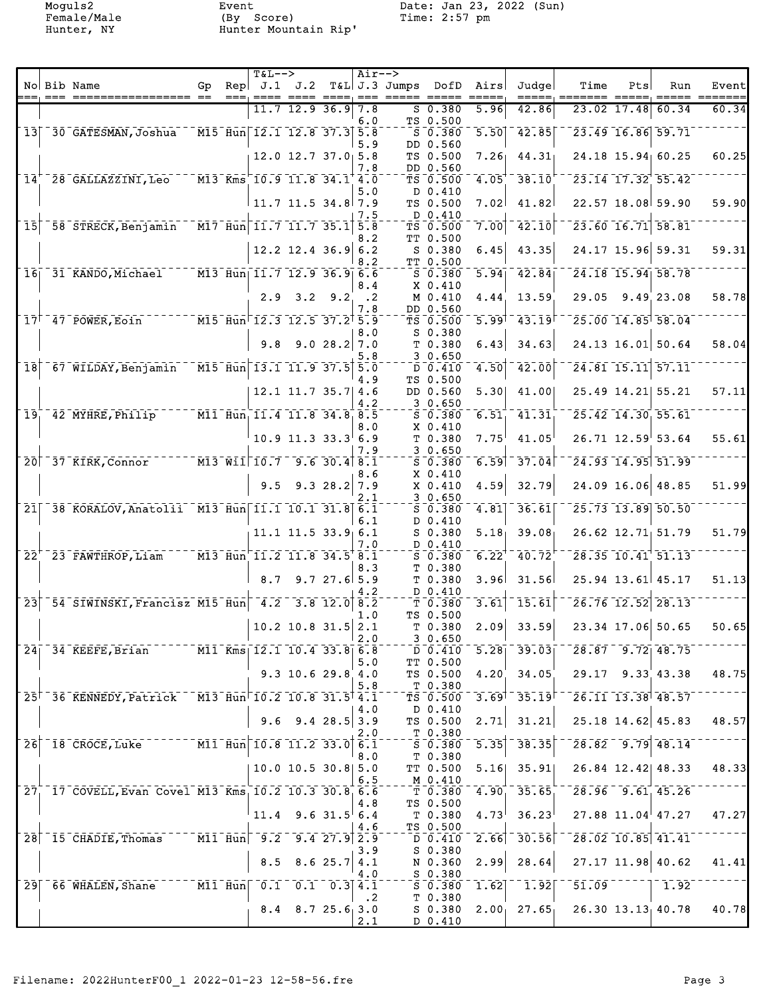Moguls2 Event Date: Jan 23, 2022 (Sun) Female/Male (By Score) Time: 2:57 pm Hunter, NY Hunter Mountain Rip'

|                 |                                                                                                       |  | $T&L-->$                                                 |                          |            | $Air--$                        |                                                                                   |                                   |                   |                                                                                                                                                                                                                                                                                                                                                                                                                                                                                                               |                                |                                          |                                                          |               |
|-----------------|-------------------------------------------------------------------------------------------------------|--|----------------------------------------------------------|--------------------------|------------|--------------------------------|-----------------------------------------------------------------------------------|-----------------------------------|-------------------|---------------------------------------------------------------------------------------------------------------------------------------------------------------------------------------------------------------------------------------------------------------------------------------------------------------------------------------------------------------------------------------------------------------------------------------------------------------------------------------------------------------|--------------------------------|------------------------------------------|----------------------------------------------------------|---------------|
|                 | No Bib Name                                                                                           |  |                                                          |                          |            |                                | Gp Rep $J.1$ $J.2$ T&L J.3 Jumps DofD Airs<br>---, ---- ---- ----, --- ----- ---- |                                   |                   | Judge                                                                                                                                                                                                                                                                                                                                                                                                                                                                                                         | Time                           | Pts                                      | Run                                                      | Event<br>==== |
|                 |                                                                                                       |  |                                                          | $11.7$ 12.9 36.9 7.8     |            |                                |                                                                                   | 50.380                            | 5.96              | 42.86                                                                                                                                                                                                                                                                                                                                                                                                                                                                                                         |                                |                                          | $23.02$ 17.48 60.34                                      | 60.34         |
|                 | 13 30 GATESMAN, Joshua                                                                                |  | $\sqrt{15}$ Hun $\sqrt{12.1}$ 12.8 37.3 5.8              |                          |            | 6.0                            |                                                                                   | TS 0.500<br>$S$ 0.380             |                   | $5.50$ $42.85$                                                                                                                                                                                                                                                                                                                                                                                                                                                                                                |                                |                                          | 23.49 16.86 59.71                                        |               |
|                 |                                                                                                       |  |                                                          | $12.0$ $12.7$ $37.0$ 5.8 |            | 5.9                            |                                                                                   | DD 0.560<br>TS 0.500              |                   | $7.26$ $44.31$                                                                                                                                                                                                                                                                                                                                                                                                                                                                                                |                                |                                          | 24.18 15.94 60.25                                        | 60.25         |
|                 | 14 <sup>+-28</sup> GALLAZZINI, Leo                                                                    |  | $-$ M13 Kms 10.9 11.8 34.1 4.0                           |                          |            | 7.8                            |                                                                                   | DD 0.560<br>TS 0.500              |                   | $4.05 - 38.10$                                                                                                                                                                                                                                                                                                                                                                                                                                                                                                |                                |                                          | $\overline{23.14}$ $\overline{17.32}$ $\overline{55.42}$ |               |
|                 |                                                                                                       |  | $11.7$ 11.5 34.8 7.9                                     |                          |            | 5.0                            |                                                                                   | D 0.410<br>TS 0.500               | 7.02              | 41.82                                                                                                                                                                                                                                                                                                                                                                                                                                                                                                         |                                |                                          | 22.57 18.08 59.90                                        | 59.90         |
| $\overline{15}$ | 58 STRECK, Benjamin                                                                                   |  | $\sqrt{M17}$ Hun 11.7 11.7 35.1 5.8                      |                          |            | 7.5                            |                                                                                   | D 0.410<br>TS 0.500               | 7.00              | $\bar{4}\bar{2}\bar{.}\bar{1}\bar{0}$                                                                                                                                                                                                                                                                                                                                                                                                                                                                         |                                |                                          | $\sqrt{23.60}$ $\sqrt{16.71}$ 58.81                      |               |
|                 |                                                                                                       |  |                                                          |                          |            | 8.2                            |                                                                                   | TT 0.500                          |                   |                                                                                                                                                                                                                                                                                                                                                                                                                                                                                                               |                                |                                          |                                                          |               |
|                 |                                                                                                       |  |                                                          | $12.2$ 12.4 36.9 6.2     |            | 8.2                            |                                                                                   | S 0.380<br>TT 0.500               | 6.45              | 43.35                                                                                                                                                                                                                                                                                                                                                                                                                                                                                                         |                                |                                          | 24.17 15.96 59.31                                        | 59.31         |
|                 | 16 31 KANDO, Michael M13 Hun 11.7 12.9 36.9 6.6                                                       |  |                                                          |                          |            | 8.4                            |                                                                                   | $S$ $0.380$<br>X 0.410            |                   | $5.94$ $42.84$                                                                                                                                                                                                                                                                                                                                                                                                                                                                                                |                                |                                          | $24.18$ $15.94$ $58.78$                                  |               |
|                 |                                                                                                       |  |                                                          | $2.9$ $3.2$ $9.2$        |            | $\ddot{\phantom{0}}$ .2<br>7.8 |                                                                                   | M 0.410<br>DD 0.560               | 4.44              | 13.59                                                                                                                                                                                                                                                                                                                                                                                                                                                                                                         |                                |                                          | 29.05 9.49 23.08                                         | 58.78         |
|                 | 17 <sup>1-</sup> 47-POWER, Eoin <sup>-----</sup> M15-Hun <sup>-</sup> 12.3-12.5-37.2 <sup>+</sup> 5.9 |  |                                                          |                          |            |                                |                                                                                   | $TS$ $0.500$<br>$S$ 0.380         |                   | $\overline{5.99}$ <sup>1</sup> $\overline{43.19}$                                                                                                                                                                                                                                                                                                                                                                                                                                                             |                                |                                          | 25.00 14.85 58.04                                        |               |
|                 |                                                                                                       |  | 9.8                                                      |                          | 9.028.27.0 | 8.0                            |                                                                                   | T 0.380                           | 6.43              | 34.63                                                                                                                                                                                                                                                                                                                                                                                                                                                                                                         |                                |                                          | 24.13 16.01 50.64                                        | 58.04         |
| $\overline{18}$ | 67 WILDAY, Benjamin                                                                                   |  | $\sqrt{15}$ $\overline{$ Hun $\sqrt{13.1}$ 11.9 37.5 5.0 |                          |            | 5.8                            |                                                                                   | 30.650<br>D 0.410                 |                   | $\mathbf{[4.50]}\ \textcolor{red}{\bar{}}\ \textcolor{red}{\bar{}}\ \textcolor{red}{\bar{}}\ \textcolor{red}{\bar{}}\ \textcolor{red}{\bar{}}\ \textcolor{red}{\bar{}}\ \textcolor{red}{\bar{}}\ \textcolor{red}{\bar{}}\ \textcolor{red}{\bar{}}\ \textcolor{red}{\bar{}}\ \textcolor{red}{\bar{}}\ \textcolor{red}{\bar{}}\ \textcolor{red}{\bar{}}\ \textcolor{red}{\bar{}}\ \textcolor{red}{\bar{}}\ \textcolor{red}{\bar{}}\ \textcolor{red}{\bar{}}\ \textcolor{red}{\bar{}}\ \textcolor{red}{\bar{}}\$ |                                |                                          | $24.81$ $15.11$ $57.11$                                  |               |
|                 |                                                                                                       |  |                                                          | $12.1$ 11.7 35.7 4.6     |            | 4.9                            |                                                                                   | TS 0.500<br>DD 0.560              |                   | $5.30 $ 41.00                                                                                                                                                                                                                                                                                                                                                                                                                                                                                                 |                                |                                          | 25.49 14.21 55.21                                        | 57.11         |
| $\overline{19}$ | 42 MYHRE, Philip M11 Hun, 11.4 11.8 34.8, 8.5                                                         |  |                                                          |                          |            | 4.2                            |                                                                                   | 30.650<br>50.380                  | 6.51              | $\overline{41.31}$                                                                                                                                                                                                                                                                                                                                                                                                                                                                                            |                                |                                          | $\overline{25.42}$ 14.30 55.61                           |               |
|                 |                                                                                                       |  |                                                          | $10.9$ 11.3 33.3 6.9     |            | 8.0                            |                                                                                   | X 0.410<br>T 0.380                | $7.75^{\circ}$    | 41.05                                                                                                                                                                                                                                                                                                                                                                                                                                                                                                         |                                |                                          | $26.71$ $12.59$ 53.64                                    | 55.61         |
|                 |                                                                                                       |  |                                                          |                          |            | 7.9                            |                                                                                   | 30.650                            |                   |                                                                                                                                                                                                                                                                                                                                                                                                                                                                                                               |                                |                                          |                                                          |               |
|                 | 20 37 KIRK, Connor M13 Will 10.7 9.6 30.4 8.1                                                         |  |                                                          |                          |            | 8.6                            |                                                                                   | S 0.380<br>X 0.410                |                   | $\overline{6.59}$ 37.04                                                                                                                                                                                                                                                                                                                                                                                                                                                                                       |                                |                                          | $\overline{24.93}$ $\overline{14.95}$ $\overline{51.99}$ |               |
|                 |                                                                                                       |  |                                                          | $9.5$ $9.3$ $28.2$       |            | 7.9<br>2.1                     |                                                                                   | X 0.410<br>30.650                 | 4.59              | 32.79                                                                                                                                                                                                                                                                                                                                                                                                                                                                                                         |                                |                                          | 24.09 16.06 48.85                                        | 51.99         |
|                 | 21 38 KORALOV, Anatolii M13 Hun 11.1 10.1 31.8 6.1                                                    |  |                                                          |                          |            | 6.1                            |                                                                                   | $S$ 0.380<br>D 0.410              |                   | $4.81$ <sup><math>-36.61</math></sup>                                                                                                                                                                                                                                                                                                                                                                                                                                                                         |                                |                                          | $25.73$ $13.89$ $50.50$                                  |               |
|                 |                                                                                                       |  |                                                          | $11.1$ $11.5$ $33.9$ 6.1 |            | 7.0                            |                                                                                   | S 0.380<br>D 0.410                |                   | $5.18$ 39.08                                                                                                                                                                                                                                                                                                                                                                                                                                                                                                  |                                |                                          | $26.62$ $12.71$ , 51.79                                  | 51.79         |
|                 | $22^{+7}$ 23 FAWTHROP, Liam $13$ Hun <sup>1</sup> 11.2 11.8 34.5 <sup>+</sup> 8.1                     |  |                                                          |                          |            |                                |                                                                                   | $5 - 0.380$                       | $6.22^{T}$        | $-40.72$                                                                                                                                                                                                                                                                                                                                                                                                                                                                                                      |                                |                                          | $28.35 - 10.41$ <sup>1</sup> 51.13                       |               |
|                 |                                                                                                       |  | 8.7                                                      |                          | 9.727.65.9 | 8.3                            |                                                                                   | T 0.380<br>T <sub>0.380</sub>     | 3.96              | 31.56                                                                                                                                                                                                                                                                                                                                                                                                                                                                                                         |                                |                                          | 25.94 13.61 45.17                                        | 51.13         |
| $\overline{2}3$ | 54 SIWINSKI, Francisz M15 Hun 4.2 3.8 12.0 8.2                                                        |  |                                                          |                          |            | 4.2                            |                                                                                   | D 0.410<br>T 0.380                | $\overline{3.61}$ | $-15.\overline{61}$                                                                                                                                                                                                                                                                                                                                                                                                                                                                                           |                                |                                          | $\sqrt{26.76}$ $\sqrt{12.52}$ $\sqrt{28.13}$             |               |
|                 |                                                                                                       |  |                                                          | $10.2$ 10.8 31.5 2.1     |            | 1.0                            |                                                                                   | TS 0.500<br>T 0.380               | 2.09              | 33.59                                                                                                                                                                                                                                                                                                                                                                                                                                                                                                         |                                |                                          | 23.34 17.06 50.65                                        | 50.65         |
|                 | 24 34 KEEFE, Brian M11 Kms 12.1 10.4 33.8 6.8                                                         |  |                                                          |                          |            | 2.0                            |                                                                                   | 30.650<br>D 0.410                 |                   | $5.28$   39.03                                                                                                                                                                                                                                                                                                                                                                                                                                                                                                |                                |                                          | $\sqrt{28.87}$ $\sqrt{9.72}$ $\sqrt{48.75}$              |               |
|                 |                                                                                                       |  |                                                          | $9.3$ 10.6 29.8 4.0      |            | 5.0                            |                                                                                   | TT 0.500<br>TS 0.500 4.20         |                   | 34.05                                                                                                                                                                                                                                                                                                                                                                                                                                                                                                         |                                |                                          | $29.17$ $9.33$ 43.38                                     | 48.75         |
|                 |                                                                                                       |  |                                                          |                          |            | 5.8                            |                                                                                   | T 0.380                           |                   |                                                                                                                                                                                                                                                                                                                                                                                                                                                                                                               |                                |                                          |                                                          |               |
|                 | 25 <sup><math>-</math></sup> 36 KENNEDY, Patrick M13 Hun 10.2 10.8 31.5 4.1                           |  |                                                          |                          |            | 4.0                            |                                                                                   | TS 0.500<br>D 0.410               |                   | $3.69$ <sup>-</sup> $35.19$ <sup>-</sup>                                                                                                                                                                                                                                                                                                                                                                                                                                                                      |                                |                                          | $\sqrt{26.11}$ $\sqrt{13.38}$ $\sqrt{48.57}$             |               |
|                 |                                                                                                       |  |                                                          | $9.6$ $9.4$ $28.5$ 3.9   |            | 2.0                            |                                                                                   | TS 0.500<br>T 0.380               | 2.71              | 31.21                                                                                                                                                                                                                                                                                                                                                                                                                                                                                                         |                                |                                          | $25.18$ 14.62 45.83                                      | 48.57         |
|                 | 26 18 CROCE, Luke M11 Hun 10.8 11.2 33.0 6.1                                                          |  |                                                          |                          |            | 8.0                            |                                                                                   | $-\frac{1}{5}$ - 0.380<br>T 0.380 |                   | $\overline{5.35}$ $\overline{38.35}$                                                                                                                                                                                                                                                                                                                                                                                                                                                                          |                                |                                          | $28.82 - 9.79$ 48.14                                     |               |
|                 |                                                                                                       |  |                                                          | $10.0$ 10.5 30.8 5.0     |            | 6.5                            |                                                                                   | TT 0.500<br>$M_0$ $-410$          |                   | $5.16$ 35.91                                                                                                                                                                                                                                                                                                                                                                                                                                                                                                  |                                |                                          | 26.84 12.42 48.33                                        | 48.33         |
|                 | 27 17 COVELL, Evan Covel M13 Kms 10.2 10.3 30.8 6.6                                                   |  |                                                          |                          |            |                                |                                                                                   |                                   |                   | $T$ $T$ $0.380$ $4.90$ $35.65$                                                                                                                                                                                                                                                                                                                                                                                                                                                                                |                                |                                          | $\overline{28.96}$ 9.61 45.26                            |               |
|                 |                                                                                                       |  | $11.4$ 9.6 31.5 6.4                                      |                          |            | 4.8                            |                                                                                   | TS 0.500<br>T 0.380               |                   | $4.73^{1}$ 36.23                                                                                                                                                                                                                                                                                                                                                                                                                                                                                              |                                |                                          | $27.88$ $11.04$ $47.27$                                  | 47.27         |
|                 | 28 15 CHADIE, Thomas M11 Hun 9.2 9.4 27.9 2.9                                                         |  |                                                          |                          |            | 4.6                            |                                                                                   | TS 0.500<br>D 0.410               |                   | $2.66$ $30.56$                                                                                                                                                                                                                                                                                                                                                                                                                                                                                                |                                |                                          | $\sqrt{28.02}$ 10.85 41.41                               |               |
|                 |                                                                                                       |  |                                                          | $8.5$ $8.6$ 25.7         |            | 3.9<br>4.1                     |                                                                                   | S 0.380<br>N 0.360                | 2.99              | 28.64                                                                                                                                                                                                                                                                                                                                                                                                                                                                                                         |                                |                                          | $27.17$ 11.98 40.62                                      | 41.41         |
|                 | 29 66 WHALEN, Shane M11 Hun 0.1 0.1 0.3 4.1                                                           |  |                                                          |                          |            | $4\,.0$                        |                                                                                   | S 0.380<br>$50.380 - 1.62$        |                   | $^{\texttt{-}-}$ 1.92 $\texttt{[}$                                                                                                                                                                                                                                                                                                                                                                                                                                                                            |                                | $\left[5\overline{1.09}^{------}\right]$ | $-1.92$                                                  |               |
|                 |                                                                                                       |  |                                                          | $8.4$ $8.7$ $25.6$ 3.0   |            | $\cdot$ . 2                    |                                                                                   | T 0.380<br>S 0.380                |                   |                                                                                                                                                                                                                                                                                                                                                                                                                                                                                                               | $2.00$ 27.65 26.30 13.13 40.78 |                                          |                                                          | 40.78         |
|                 |                                                                                                       |  |                                                          |                          |            | 2.1                            |                                                                                   | D 0.410                           |                   |                                                                                                                                                                                                                                                                                                                                                                                                                                                                                                               |                                |                                          |                                                          |               |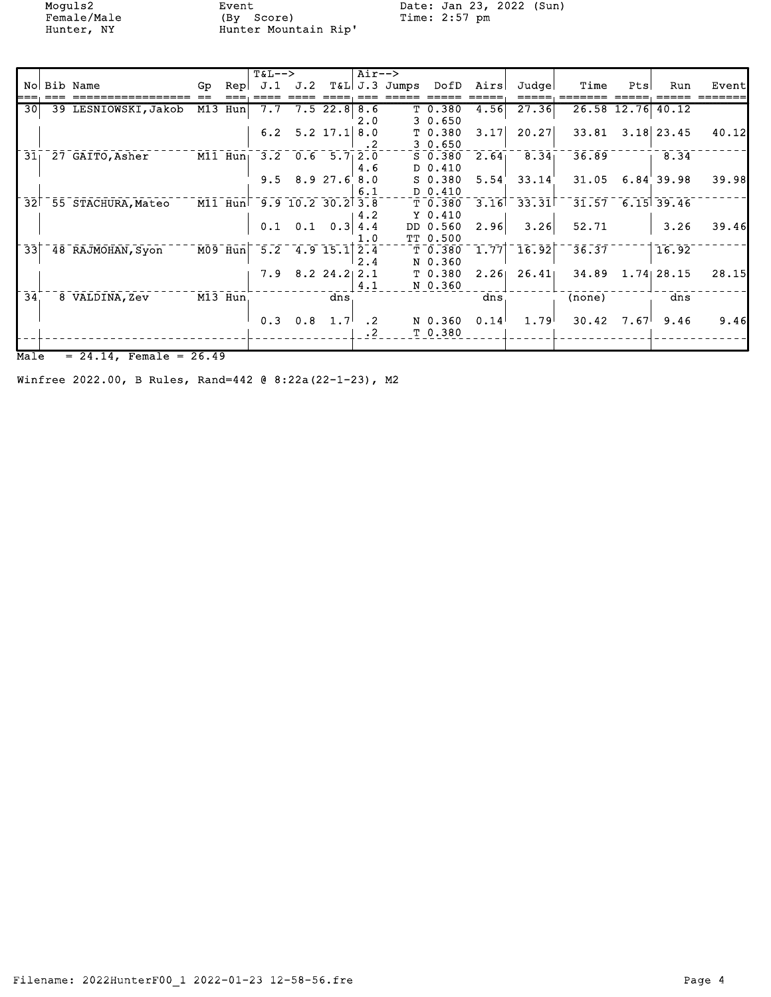Female/Male (By Score) Time: 2:57 pm Female/Male (By Score)<br>Hunter, NY Hunter Mountain Rip'

Moguls2 Event Date: Jan 23, 2022 (Sun)

|                 |                                    |                     |     |           | $T&L-->$ |                                  |                  | $Air--$   |               |                    |                   |                                      |                    |      |                    |       |
|-----------------|------------------------------------|---------------------|-----|-----------|----------|----------------------------------|------------------|-----------|---------------|--------------------|-------------------|--------------------------------------|--------------------|------|--------------------|-------|
|                 |                                    | No Bib Name         | Gp. | Repl      | J.1      | J.2                              |                  |           | T&L J.3 Jumps | DofD               | Airs              | Judge                                | Time               | Pts  | Run                | Event |
|                 |                                    |                     |     |           |          |                                  |                  |           |               |                    |                   |                                      |                    |      |                    |       |
| 30 <sup>1</sup> |                                    | 39 LESNIOWSKI,Jakob |     | M13 Hun   | 7.7      |                                  | $7.5$ 22.8       | 8.6       |               | T <sub>0.380</sub> | 4.56              | 27.36                                |                    |      | 26.58 12.76 40.12  |       |
|                 |                                    |                     |     |           |          |                                  |                  | 2.0       |               | 30.650             |                   |                                      |                    |      |                    |       |
|                 |                                    |                     |     |           | 6.2      |                                  | $5.2$ 17.1       | 8.0       |               | T <sub>0.380</sub> | 3.17              | 20.27                                | 33.81              |      | $3.18$ 23.45       | 40.12 |
|                 |                                    |                     |     |           |          |                                  |                  | $\cdot$ 2 |               | 30.650             |                   |                                      |                    |      |                    |       |
| $31_1$          |                                    | 27 GAITO, Asher     |     | $M11$ Hun |          | $3.2 \quad 0.6 \quad 5.7 \, 2.0$ |                  |           |               | $S_0.380$          | 2.64 <sub>1</sub> | 8.34 <sub>1</sub>                    | 36.89              |      | 8.34               |       |
|                 |                                    |                     |     |           |          |                                  |                  | 4.6       |               | $D_0.410$          |                   |                                      |                    |      |                    |       |
|                 |                                    |                     |     |           |          | $9.5$ $8.9$ $27.6$               |                  | 8.0       |               | $S_0.380$          | 5.54'             | 33.14'                               | 31.05              |      | 6.84'39.98         | 39.98 |
|                 |                                    |                     |     |           |          |                                  |                  | 6.1       |               | D 0.410            |                   |                                      |                    |      |                    |       |
| $\overline{32}$ |                                    | 55 STACHURA, Mateo  |     |           |          | M11 Hun 9.9 10.2 30.2            |                  | 3.8       |               | T 0.380            |                   | $3.16$ $33.31$                       |                    |      | $31.57$ 6.15 39.46 |       |
|                 |                                    |                     |     |           |          |                                  |                  | 4.2       |               | Y <sub>0.410</sub> |                   |                                      |                    |      |                    |       |
|                 |                                    |                     |     |           |          | $0.1 \quad 0.1 \quad 0.3$        |                  | 4.4       |               | DD 0.560           | 2.96              | 3.26                                 | 52.71              |      | 3.26               | 39.46 |
|                 |                                    |                     |     |           |          |                                  |                  | 1.0       |               | TT 0.500           |                   |                                      |                    |      |                    |       |
| $\overline{33}$ |                                    | 48 RAJMOHAN, Syon   |     |           |          | M09 Hun 5.2 4.9 15.1             |                  | 2.4       |               | T <sub>0.380</sub> |                   | $\overline{1.77}$ $\overline{16.92}$ | $\overline{36.37}$ |      | 16.92              |       |
|                 |                                    |                     |     |           |          |                                  |                  | 2.4       |               | N 0.360            |                   |                                      |                    |      |                    |       |
|                 |                                    |                     |     |           | 7.9      |                                  | $8.2$ 24.2       | 2.1       |               | T 0.380            | 2.261             | 26.41                                | 34.89              |      | $1.74$ 28.15       | 28.15 |
|                 |                                    |                     |     |           |          |                                  |                  | 4.1       |               | N 0.360            |                   |                                      |                    |      |                    |       |
| $\overline{34}$ |                                    | 8 VALDINA, Zev      |     | M13 Hun   |          |                                  | dns              |           |               |                    | dns               |                                      | (none)             |      | dns                |       |
|                 |                                    |                     |     |           |          |                                  |                  |           |               |                    |                   |                                      |                    |      |                    |       |
|                 |                                    |                     |     |           | 0.3      | 0.8                              | 1.7 <sup>1</sup> | $\cdot$ 2 |               | N 0.360            | 0.14              | 1.79                                 | 30.42              | 7.67 | 9.46               | 9.46  |
|                 |                                    |                     |     |           |          |                                  |                  | $\cdot$ 2 |               | T <sub>0.380</sub> |                   |                                      |                    |      |                    |       |
|                 |                                    |                     |     |           |          |                                  |                  |           |               |                    |                   |                                      |                    |      |                    |       |
|                 |                                    |                     |     |           |          |                                  |                  |           |               |                    |                   |                                      |                    |      |                    |       |
|                 | Male<br>$= 24.14$ , Female = 26.49 |                     |     |           |          |                                  |                  |           |               |                    |                   |                                      |                    |      |                    |       |

Winfree 2022.00, B Rules, Rand=442 @ 8:22a(22-1-23), M2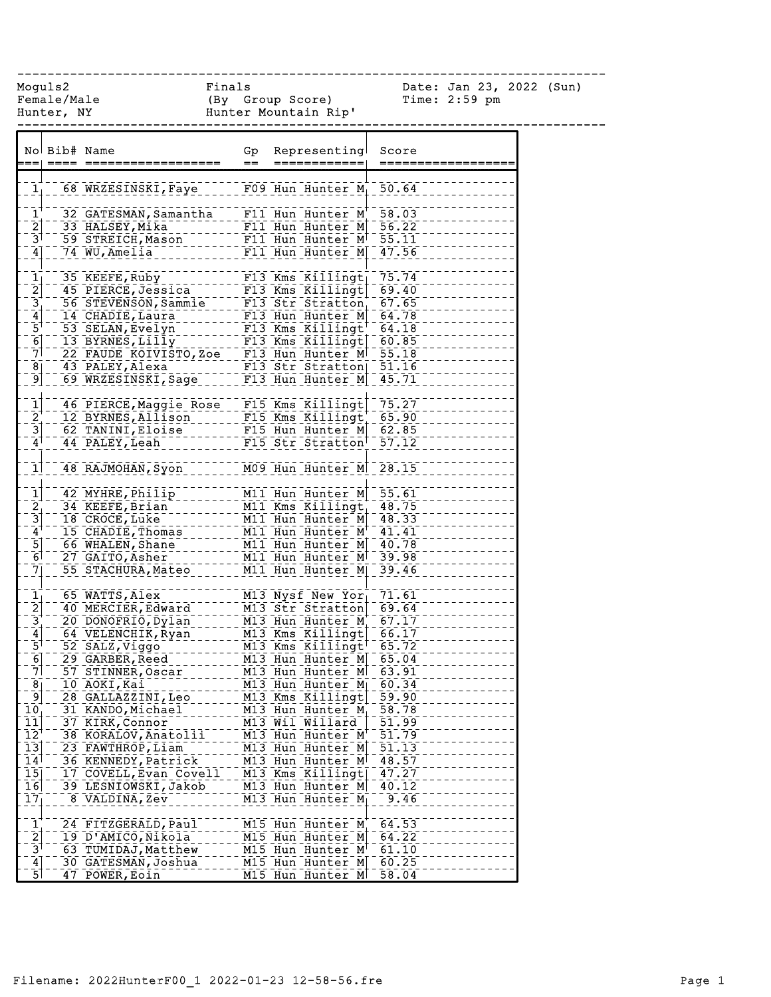------------------------------------------------------------------------------

Female/Male (By Group Score) Time: 2:59 pm Hunter, NY Hunter Mountain Rip'

Moguls2 Finals Date: Jan 23, 2022 (Sun)

|                                                                                                 | No Bib# Name |                                                                                                                                                                                                                                                | Gp<br>$=$ | Representing<br>============                                  | Score<br>============ |  |
|-------------------------------------------------------------------------------------------------|--------------|------------------------------------------------------------------------------------------------------------------------------------------------------------------------------------------------------------------------------------------------|-----------|---------------------------------------------------------------|-----------------------|--|
| 1 <sub>1</sub>                                                                                  |              | 68 WRZESINSKI, Faye F09 Hun Hunter M <sub>1</sub> 50.64                                                                                                                                                                                        |           |                                                               |                       |  |
| $\mathbf{1}^{\mathbf{+}}$                                                                       |              | 32 GATESMAN, Samantha                                                                                                                                                                                                                          |           | $FI1$ Hun Hunter M <sup>+</sup> 58.03                         |                       |  |
| $\frac{2}{3}$                                                                                   |              | 33 HALSEY, Mika                                                                                                                                                                                                                                |           | F11 Hun Hunter M $56.22$<br>$F11$ Hun Hunter $M^+$ 55.11      |                       |  |
|                                                                                                 |              | 59 STREICH, Mason                                                                                                                                                                                                                              |           | F11 Hun Hunter M 47.56                                        |                       |  |
| $\left[4\right]$                                                                                |              | 74 WU, Amelia                                                                                                                                                                                                                                  |           |                                                               |                       |  |
| $\mathbf{1}_1$                                                                                  |              | 35 KEEFE, Ruby                                                                                                                                                                                                                                 |           | $F13$ Kms Killingt                                            | 75.74                 |  |
|                                                                                                 |              | 45 PIERCE, Jessica                                                                                                                                                                                                                             |           | $F13$ Kms Killingt                                            | 69.40                 |  |
|                                                                                                 |              |                                                                                                                                                                                                                                                |           |                                                               |                       |  |
| $\begin{bmatrix} 2 \\ 3 \\ 4 \end{bmatrix}$                                                     |              | 30 STEVENSON, Sammie<br>14 CHADIE, Laura<br>56 STEVENSON, Sammie<br>14 CHADIE, Laura<br>53 SELAN, Evelyn<br>13 BYRNES, Lilly<br>13 BYRNES, Lilly<br>22 FAUDE ADAVISTO, Zoe F13 Hun Hunter M 64.18<br>22 FAUDE ADAVISTO, Zoe F13 Hun Hunter M 5 |           |                                                               |                       |  |
| $\bar{5}^{\dagger}$                                                                             |              |                                                                                                                                                                                                                                                |           |                                                               |                       |  |
|                                                                                                 |              |                                                                                                                                                                                                                                                |           |                                                               |                       |  |
| $\begin{bmatrix} 6 \\ 7 \end{bmatrix}$                                                          |              |                                                                                                                                                                                                                                                |           |                                                               |                       |  |
| $\overline{8}$                                                                                  |              | 43 PALEY, Alexa                                                                                                                                                                                                                                |           | F13 Str Stratton                                              | $-51.16$              |  |
| $\left[9\right]$                                                                                |              | 69 WRZESINSKI, Sage F13 Hun Hunter M 45.71                                                                                                                                                                                                     |           |                                                               |                       |  |
|                                                                                                 |              |                                                                                                                                                                                                                                                |           |                                                               |                       |  |
| $\mathbf{\bar{1}}$                                                                              |              | 46 PIERCE, Maggie Rose - F15 Kms Killingt 75.27                                                                                                                                                                                                |           |                                                               |                       |  |
|                                                                                                 |              | 12 BYRNES, Allison<br>20 FINITY - The Contract of The Trace of The Trace of                                                                                                                                                                    |           |                                                               | 65.90                 |  |
| $\begin{bmatrix} 2 \\ -3 \end{bmatrix}$                                                         |              | 62 TANINI, Eloise                                                                                                                                                                                                                              |           | $F15$ Hun Hunter M 62.85                                      |                       |  |
| $\mathbf{A}^{\dagger}$                                                                          |              | 44 PALEY, Leah                                                                                                                                                                                                                                 |           | F15 Str Stratton <sup>1</sup> 57.12                           |                       |  |
| 1                                                                                               |              | 48 RAJMOHAN, Syon                                                                                                                                                                                                                              |           | M09 Hun Hunter M 28.15                                        |                       |  |
|                                                                                                 |              | 42 MYHRE, Philip                                                                                                                                                                                                                               |           | M11 Hun Hunter M 55.61                                        |                       |  |
|                                                                                                 |              | 34 KEEFE, Brian                                                                                                                                                                                                                                |           |                                                               |                       |  |
| $\begin{array}{c}\n\overrightarrow{1} \\ \overrightarrow{2} \\ \overrightarrow{3}\n\end{array}$ |              | 18 CROCE, Luke                                                                                                                                                                                                                                 |           | M11 Kms Killingt 48.75<br>M11 Hun Hunter M 48.33              |                       |  |
| $4^{\dagger}$                                                                                   |              | 15 CHADIE, Thomas                                                                                                                                                                                                                              |           | M11 Hun Hunter M <sup>+</sup> 41.41                           |                       |  |
|                                                                                                 |              | 66 WHALEN, Shane                                                                                                                                                                                                                               |           |                                                               |                       |  |
| $\frac{5}{6}$                                                                                   |              | 27 GAITO, Asher                                                                                                                                                                                                                                |           | M11 Hun Hunter M 40.78<br>M11 Hun Hunter M 39.98              |                       |  |
| $\overline{7}$ ]                                                                                |              | 55 STACHURA, Mateo                                                                                                                                                                                                                             |           | M11 Hun Hunter M 39.46                                        |                       |  |
|                                                                                                 |              |                                                                                                                                                                                                                                                |           |                                                               |                       |  |
| $\begin{bmatrix} 1 \\ 2 \end{bmatrix}$                                                          |              | 65 WATTS, Alex                                                                                                                                                                                                                                 |           | M13 Nysf New Yor 71.61                                        |                       |  |
|                                                                                                 |              | 40 MERCIER, Edward                                                                                                                                                                                                                             |           | M13 Str Stratton                                              | 69.64                 |  |
| $\frac{3}{4}$<br>$\frac{4}{5}$                                                                  |              | 20 DONOFRIO, Dylan                                                                                                                                                                                                                             |           | M13 Hun Hunter M <sup>+</sup> 67.17<br>M13 Kms Killingt 66.17 | $-67.17$              |  |
|                                                                                                 |              | 64 VELENCHIK, Ryan                                                                                                                                                                                                                             |           |                                                               |                       |  |
|                                                                                                 |              | 52 SALZ, Viggo                                                                                                                                                                                                                                 |           | $\overline{M13}$ Kms Killlingt <sup>+-</sup> 65.72            |                       |  |
| $\frac{6}{7}$                                                                                   |              | 29 GARBER, Reed                                                                                                                                                                                                                                |           | M13 Hun Hunter M 65.04                                        |                       |  |
|                                                                                                 |              | 57 STINNER, Oscar                                                                                                                                                                                                                              |           | M13 Hun Hunter M                                              | $-63.91$              |  |
| $\bar{8]}$<br>$\overline{9}$                                                                    |              | 10 AOKI, Kai<br>28 GALLAZZINI, Leo                                                                                                                                                                                                             |           | M13 Hun Hunter M <sub>1</sub> 60.34<br>M13 Kms Killingt       | 59.90                 |  |
| 10 <sub>1</sub>                                                                                 |              | 31 KANDO, Michael                                                                                                                                                                                                                              |           | M13 Hun Hunter M                                              | 58.78                 |  |
| $\overline{1}\overline{1}$                                                                      |              | 37 KIRK, Connor                                                                                                                                                                                                                                |           | M13 Wil Willard                                               | 51.99                 |  |
| $\bar{1}\bar{2}^\dagger$                                                                        |              | 38 KORALOV, Anatolii                                                                                                                                                                                                                           |           | M13 Hun Hunter M                                              | 51.79                 |  |
| $\overline{1}\overline{3}$                                                                      |              | 23 FAWTHROP, Liam                                                                                                                                                                                                                              |           | M13 Hun Hunter M                                              | 51.13                 |  |
| $14$ <sup><math>\overline{ }</math></sup>                                                       |              | 36 KENNEDY, Patrick                                                                                                                                                                                                                            |           | M13 Hun Hunter M                                              | 48.57                 |  |
| $\overline{15}$                                                                                 |              | 17 COVELL, Evan Covell                                                                                                                                                                                                                         |           | M13 Kms Killingt                                              | 47.27                 |  |
| 16                                                                                              |              | 39 LESNIOWSKI, Jakob                                                                                                                                                                                                                           |           | M13 Hun Hunter M                                              | 40.12                 |  |
| $\bar{1}\bar{7}_\perp$                                                                          |              | 8 VALDINA, Zev                                                                                                                                                                                                                                 |           | $M13$ Hun Hunter M                                            | 9.46                  |  |
|                                                                                                 |              |                                                                                                                                                                                                                                                |           |                                                               |                       |  |
| $\mathbf{I}$                                                                                    |              | 24 FITZGERALD, Paul                                                                                                                                                                                                                            |           | M15 Hun Hunter M                                              | 64.53                 |  |
| $\overline{2}$                                                                                  |              | 19 D'AMICO, Nikola                                                                                                                                                                                                                             |           | M15 Hun Hunter M                                              | 64.22                 |  |
| $\bar{3}^{\bar{1}}$                                                                             |              | 63 TUMIDAJ, Matthew                                                                                                                                                                                                                            |           | M15 Hun Hunter M                                              | 61.10                 |  |
| $\overline{4}$                                                                                  |              | 30 GATESMAN, Joshua                                                                                                                                                                                                                            |           | M15 Hun Hunter M                                              | 60.25                 |  |
| $\overline{5}$                                                                                  |              | 47 POWER, Eoin                                                                                                                                                                                                                                 |           | M15 Hun Hunter M                                              | 58.04                 |  |